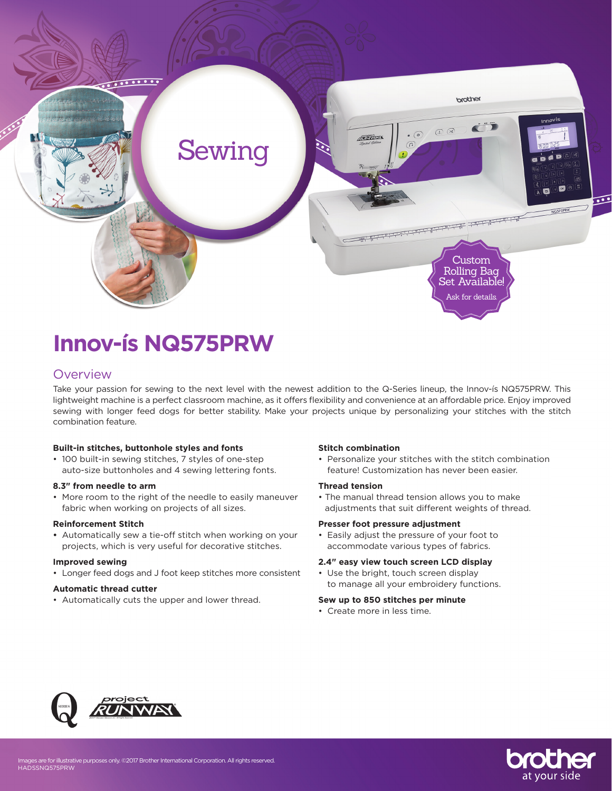

# **Innov-ís NQ575PRW**

## **Overview**

Take your passion for sewing to the next level with the newest addition to the Q-Series lineup, the Innov-ís NQ575PRW. This lightweight machine is a perfect classroom machine, as it offers flexibility and convenience at an affordable price. Enjoy improved sewing with longer feed dogs for better stability. Make your projects unique by personalizing your stitches with the stitch combination feature.

#### **Built-in stitches, buttonhole styles and fonts**

• 100 built-in sewing stitches, 7 styles of one-step auto-size buttonholes and 4 sewing lettering fonts.

#### **8.3" from needle to arm**

• More room to the right of the needle to easily maneuver fabric when working on projects of all sizes.

#### **Reinforcement Stitch**

**•** Automatically sew a tie-off stitch when working on your projects, which is very useful for decorative stitches.

#### **Improved sewing**

• Longer feed dogs and J foot keep stitches more consistent

## **Automatic thread cutter**

• Automatically cuts the upper and lower thread.

#### **Stitch combination**

• Personalize your stitches with the stitch combination feature! Customization has never been easier.

#### **Thread tension**

• The manual thread tension allows you to make adjustments that suit different weights of thread.

#### **Presser foot pressure adjustment**

• Easily adjust the pressure of your foot to accommodate various types of fabrics.

#### **2.4" easy view touch screen LCD display**

• Use the bright, touch screen display to manage all your embroidery functions.

#### **Sew up to 850 stitches per minute**

• Create more in less time.